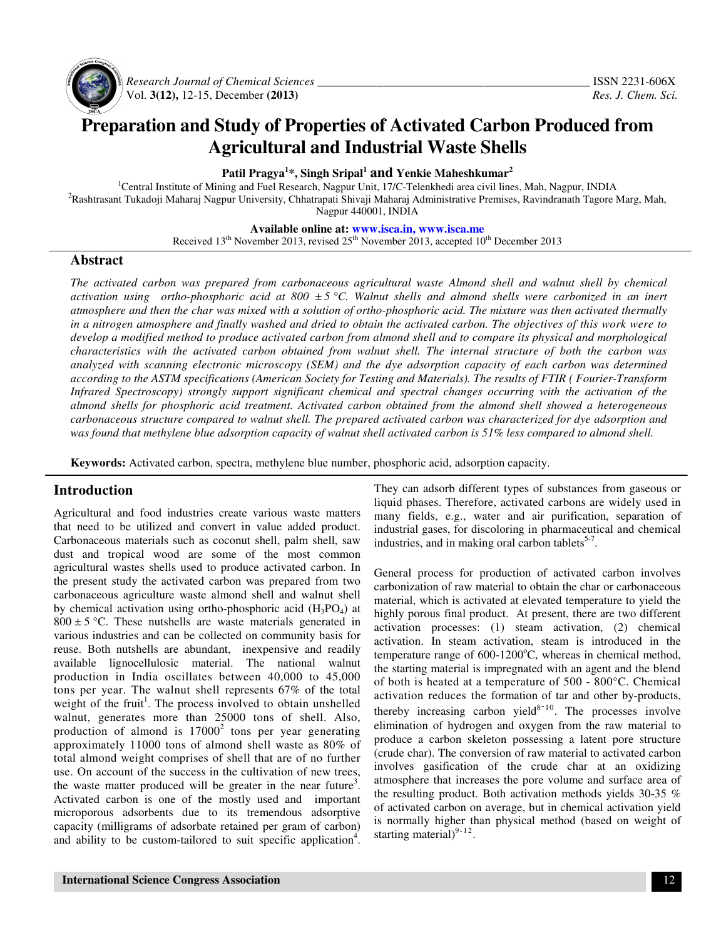

 *Research Journal of Chemical Sciences \_\_\_\_\_\_\_\_\_\_\_\_\_\_\_\_\_\_\_\_\_\_\_\_\_\_\_\_\_\_\_\_\_\_\_\_\_\_\_\_\_\_\_\_\_\_* ISSN 2231-606X Vol. **3(12),** 12-15, December **(2013)** *Res. J. Chem. Sci.*

# **Preparation and Study of Properties of Activated Carbon Produced from Agricultural and Industrial Waste Shells**

**Patil Pragya<sup>1</sup> \*, Singh Sripal<sup>1</sup> and Yenkie Maheshkumar<sup>2</sup>**

<sup>1</sup>Central Institute of Mining and Fuel Research, Nagpur Unit, 17/C-Telenkhedi area civil lines, Mah, Nagpur, INDIA <sup>2</sup>Rashtrasant Tukadoji Maharaj Nagpur University, Chhatrapati Shivaji Maharaj Administrative Premises, Ravindranath Tagore Marg, Mah, Nagpur 440001, INDIA

> **Available online at: www.isca.in, www.isca.me**  Received  $13<sup>th</sup>$  November 2013, revised  $25<sup>th</sup>$  November 2013, accepted  $10<sup>th</sup>$  December 2013

## **Abstract**

*The activated carbon was prepared from carbonaceous agricultural waste Almond shell and walnut shell by chemical activation using ortho-phosphoric acid at 800*  $\pm$  *5 °C. Walnut shells and almond shells were carbonized in an inert atmosphere and then the char was mixed with a solution of ortho-phosphoric acid. The mixture was then activated thermally in a nitrogen atmosphere and finally washed and dried to obtain the activated carbon. The objectives of this work were to*  develop a modified method to produce activated carbon from almond shell and to compare its physical and morphological *characteristics with the activated carbon obtained from walnut shell. The internal structure of both the carbon was analyzed with scanning electronic microscopy (SEM) and the dye adsorption capacity of each carbon was determined according to the ASTM specifications (American Society for Testing and Materials). The results of FTIR ( Fourier-Transform Infrared Spectroscopy) strongly support significant chemical and spectral changes occurring with the activation of the almond shells for phosphoric acid treatment. Activated carbon obtained from the almond shell showed a heterogeneous carbonaceous structure compared to walnut shell. The prepared activated carbon was characterized for dye adsorption and was found that methylene blue adsorption capacity of walnut shell activated carbon is 51% less compared to almond shell.* 

**Keywords:** Activated carbon, spectra, methylene blue number, phosphoric acid, adsorption capacity.

# **Introduction**

Agricultural and food industries create various waste matters that need to be utilized and convert in value added product. Carbonaceous materials such as coconut shell, palm shell, saw dust and tropical wood are some of the most common agricultural wastes shells used to produce activated carbon. In the present study the activated carbon was prepared from two carbonaceous agriculture waste almond shell and walnut shell by chemical activation using ortho-phosphoric acid  $(H_3PO_4)$  at  $800 \pm 5$  °C. These nutshells are waste materials generated in various industries and can be collected on community basis for reuse. Both nutshells are abundant, inexpensive and readily available lignocellulosic material. The national walnut production in India oscillates between 40,000 to 45,000 tons per year. The walnut shell represents 67% of the total weight of the fruit<sup>1</sup>. The process involved to obtain unshelled walnut, generates more than 25000 tons of shell. Also, production of almond is  $17000<sup>2</sup>$  tons per year generating approximately 11000 tons of almond shell waste as 80% of total almond weight comprises of shell that are of no further use. On account of the success in the cultivation of new trees, the waste matter produced will be greater in the near future<sup>3</sup>. Activated carbon is one of the mostly used and important microporous adsorbents due to its tremendous adsorptive capacity (milligrams of adsorbate retained per gram of carbon) and ability to be custom-tailored to suit specific application<sup>4</sup>. They can adsorb different types of substances from gaseous or liquid phases. Therefore, activated carbons are widely used in many fields, e.g., water and air purification, separation of industrial gases, for discoloring in pharmaceutical and chemical industries, and in making oral carbon tablets<sup>5-7</sup>.

General process for production of activated carbon involves carbonization of raw material to obtain the char or carbonaceous material, which is activated at elevated temperature to yield the highly porous final product. At present, there are two different activation processes: (1) steam activation, (2) chemical activation. In steam activation, steam is introduced in the temperature range of  $600-1200^{\circ}$ C, whereas in chemical method, the starting material is impregnated with an agent and the blend of both is heated at a temperature of 500 - 800°C. Chemical activation reduces the formation of tar and other by-products, thereby increasing carbon yield $8-10$ . The processes involve elimination of hydrogen and oxygen from the raw material to produce a carbon skeleton possessing a latent pore structure (crude char). The conversion of raw material to activated carbon involves gasification of the crude char at an oxidizing atmosphere that increases the pore volume and surface area of the resulting product. Both activation methods yields 30-35 % of activated carbon on average, but in chemical activation yield is normally higher than physical method (based on weight of starting material) $9-12$ .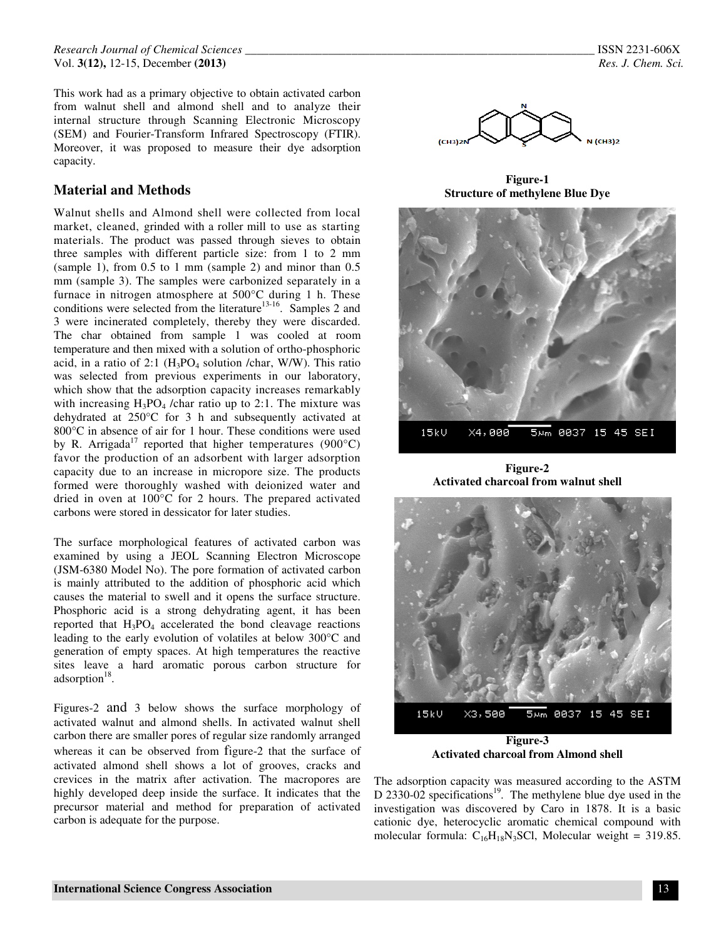This work had as a primary objective to obtain activated carbon from walnut shell and almond shell and to analyze their internal structure through Scanning Electronic Microscopy (SEM) and Fourier-Transform Infrared Spectroscopy (FTIR). Moreover, it was proposed to measure their dye adsorption capacity.

# **Material and Methods**

Walnut shells and Almond shell were collected from local market, cleaned, grinded with a roller mill to use as starting materials. The product was passed through sieves to obtain three samples with different particle size: from 1 to 2 mm (sample 1), from 0.5 to 1 mm (sample 2) and minor than 0.5 mm (sample 3). The samples were carbonized separately in a furnace in nitrogen atmosphere at 500°C during 1 h. These conditions were selected from the literature<sup>13-16</sup>. Samples 2 and 3 were incinerated completely, thereby they were discarded. The char obtained from sample 1 was cooled at room temperature and then mixed with a solution of ortho-phosphoric acid, in a ratio of 2:1 ( $H_3PO_4$  solution /char, W/W). This ratio was selected from previous experiments in our laboratory, which show that the adsorption capacity increases remarkably with increasing  $H_3PO_4$  /char ratio up to 2:1. The mixture was dehydrated at 250°C for 3 h and subsequently activated at 800°C in absence of air for 1 hour. These conditions were used by R. Arrigada<sup>17</sup> reported that higher temperatures (900 $^{\circ}$ C) favor the production of an adsorbent with larger adsorption capacity due to an increase in micropore size. The products formed were thoroughly washed with deionized water and dried in oven at 100°C for 2 hours. The prepared activated carbons were stored in dessicator for later studies.

The surface morphological features of activated carbon was examined by using a JEOL Scanning Electron Microscope (JSM-6380 Model No). The pore formation of activated carbon is mainly attributed to the addition of phosphoric acid which causes the material to swell and it opens the surface structure. Phosphoric acid is a strong dehydrating agent, it has been reported that  $H_3PO_4$  accelerated the bond cleavage reactions leading to the early evolution of volatiles at below 300°C and generation of empty spaces. At high temperatures the reactive sites leave a hard aromatic porous carbon structure for adsorption<sup>18</sup>.

Figures-2 and 3 below shows the surface morphology of activated walnut and almond shells. In activated walnut shell carbon there are smaller pores of regular size randomly arranged whereas it can be observed from figure-2 that the surface of activated almond shell shows a lot of grooves, cracks and crevices in the matrix after activation. The macropores are highly developed deep inside the surface. It indicates that the precursor material and method for preparation of activated carbon is adequate for the purpose.



**Figure-1 Structure of methylene Blue Dye** 



**Figure-2 Activated charcoal from walnut shell**



**Activated charcoal from Almond shell** 

The adsorption capacity was measured according to the ASTM D 2330-02 specifications<sup>19</sup>. The methylene blue dye used in the investigation was discovered by Caro in 1878. It is a basic cationic dye, heterocyclic aromatic chemical compound with molecular formula:  $C_{16}H_{18}N_3SCl$ , Molecular weight = 319.85.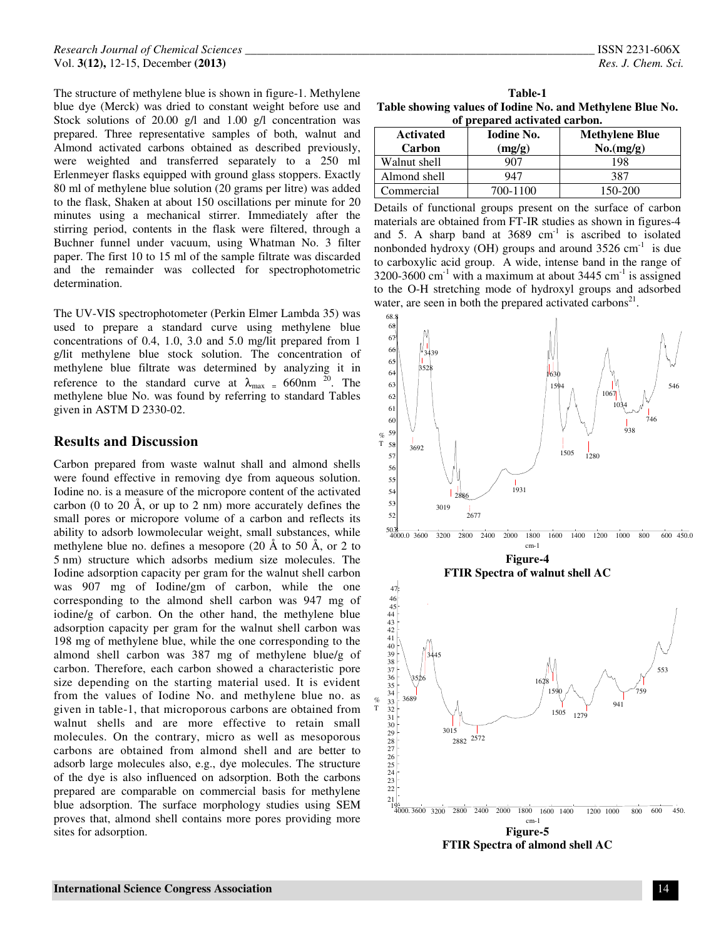The structure of methylene blue is shown in figure-1. Methylene blue dye (Merck) was dried to constant weight before use and Stock solutions of 20.00 g/l and 1.00 g/l concentration was prepared. Three representative samples of both, walnut and Almond activated carbons obtained as described previously, were weighted and transferred separately to a 250 ml Erlenmeyer flasks equipped with ground glass stoppers. Exactly 80 ml of methylene blue solution (20 grams per litre) was added to the flask, Shaken at about 150 oscillations per minute for 20 minutes using a mechanical stirrer. Immediately after the stirring period, contents in the flask were filtered, through a Buchner funnel under vacuum, using Whatman No. 3 filter paper. The first 10 to 15 ml of the sample filtrate was discarded and the remainder was collected for spectrophotometric determination.

The UV-VIS spectrophotometer (Perkin Elmer Lambda 35) was used to prepare a standard curve using methylene blue concentrations of 0.4, 1.0, 3.0 and 5.0 mg/lit prepared from 1 g/lit methylene blue stock solution. The concentration of methylene blue filtrate was determined by analyzing it in reference to the standard curve at  $\lambda_{\text{max}} = 660 \text{nm}^{-20}$ . The methylene blue No. was found by referring to standard Tables given in ASTM D 2330-02.

#### **Results and Discussion**

Carbon prepared from waste walnut shall and almond shells were found effective in removing dye from aqueous solution. Iodine no. is a measure of the micropore content of the activated carbon (0 to 20 Å, or up to 2 nm) more accurately defines the small pores or micropore volume of a carbon and reflects its ability to adsorb lowmolecular weight, small substances, while methylene blue no. defines a mesopore (20 Å to 50 Å, or 2 to 5 nm) structure which adsorbs medium size molecules. The Iodine adsorption capacity per gram for the walnut shell carbon was 907 mg of Iodine/gm of carbon, while the one corresponding to the almond shell carbon was 947 mg of iodine/g of carbon. On the other hand, the methylene blue adsorption capacity per gram for the walnut shell carbon was 198 mg of methylene blue, while the one corresponding to the almond shell carbon was 387 mg of methylene blue/g of carbon. Therefore, each carbon showed a characteristic pore size depending on the starting material used. It is evident from the values of Iodine No. and methylene blue no. as given in table-1, that microporous carbons are obtained from walnut shells and are more effective to retain small molecules. On the contrary, micro as well as mesoporous carbons are obtained from almond shell and are better to adsorb large molecules also, e.g., dye molecules. The structure of the dye is also influenced on adsorption. Both the carbons prepared are comparable on commercial basis for methylene blue adsorption. The surface morphology studies using SEM proves that, almond shell contains more pores providing more sites for adsorption.

**Table-1 Table showing values of Iodine No. and Methylene Blue No. of prepared activated carbon.** 

| <b>Activated</b><br>Carbon | <b>Iodine No.</b><br>(mg/g) | <b>Methylene Blue</b><br>No.(mg/g) |
|----------------------------|-----------------------------|------------------------------------|
| Walnut shell               |                             | 198                                |
| Almond shell               | 947                         | 387                                |
| Commercial                 | 700-1100                    | 150-200                            |

Details of functional groups present on the surface of carbon materials are obtained from FT-IR studies as shown in figures-4 and 5. A sharp band at  $3689 \text{ cm}^{-1}$  is ascribed to isolated nonbonded hydroxy (OH) groups and around  $3526 \text{ cm}^{-1}$  is due to carboxylic acid group. A wide, intense band in the range of  $3200-3600$  cm<sup>-1</sup> with a maximum at about  $3445$  cm<sup>-1</sup> is assigned to the O-H stretching mode of hydroxyl groups and adsorbed water, are seen in both the prepared activated carbons $^{21}$ .



**FTIR Spectra of almond shell AC**